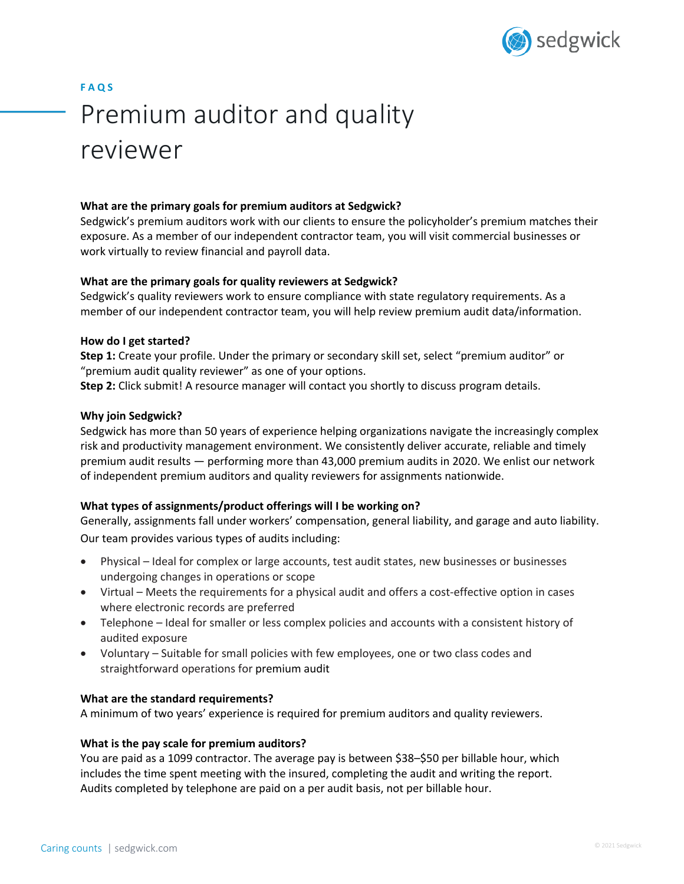

# **F A Q S**

# Premium auditor and quality reviewer

# **What are the primary goals for premium auditors at Sedgwick?**

Sedgwick's premium auditors work with our clients to ensure the policyholder's premium matches their exposure. As a member of our independent contractor team, you will visit commercial businesses or work virtually to review financial and payroll data.

# **What are the primary goals for quality reviewers at Sedgwick?**

Sedgwick's quality reviewers work to ensure compliance with state regulatory requirements. As a member of our independent contractor team, you will help review premium audit data/information.

# **How do I get started?**

**Step 1:** Create your profile. Under the primary or secondary skill set, select "premium auditor" or "premium audit quality reviewer" as one of your options.

**Step 2:** Click submit! A resource manager will contact you shortly to discuss program details.

# **Why join Sedgwick?**

Sedgwick has more than 50 years of experience helping organizations navigate the increasingly complex risk and productivity management environment. We consistently deliver accurate, reliable and timely premium audit results — performing more than 43,000 premium audits in 2020. We enlist our network of independent premium auditors and quality reviewers for assignments nationwide.

# **What types of assignments/product offerings will I be working on?**

Generally, assignments fall under workers' compensation, general liability, and garage and auto liability. Our team provides various types of audits including:

- Physical Ideal for complex or large accounts, test audit states, new businesses or businesses undergoing changes in operations or scope
- Virtual Meets the requirements for a physical audit and offers a cost-effective option in cases where electronic records are preferred
- Telephone Ideal for smaller or less complex policies and accounts with a consistent history of audited exposure
- Voluntary Suitable for small policies with few employees, one or two class codes and straightforward operations for premium audit

# **What are the standard requirements?**

A minimum of two years' experience is required for premium auditors and quality reviewers.

# **What is the pay scale for premium auditors?**

You are paid as a 1099 contractor. The average pay is between \$38–\$50 per billable hour, which includes the time spent meeting with the insured, completing the audit and writing the report. Audits completed by telephone are paid on a per audit basis, not per billable hour.